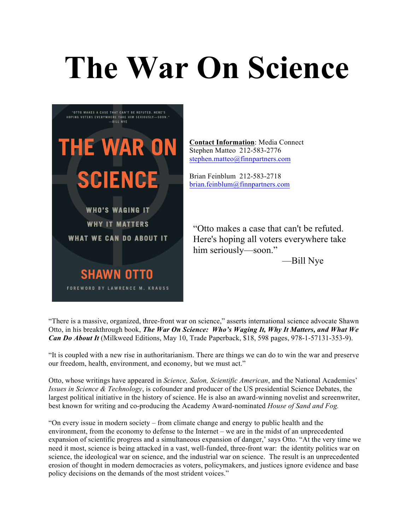# **The War On Science**



**Contact Information**: Media Connect Stephen Matteo 212-583-2776 stephen.matteo@finnpartners.com

Brian Feinblum 212-583-2718 brian.feinblum@finnpartners.com

"Otto makes a case that can't be refuted. Here's hoping all voters everywhere take him seriously—soon."

—Bill Nye

"There is a massive, organized, three-front war on science," asserts international science advocate Shawn Otto, in his breakthrough book, *The War On Science: Who's Waging It, Why It Matters, and What We Can Do About It* (Milkweed Editions, May 10, Trade Paperback, \$18, 598 pages, 978-1-57131-353-9).

"It is coupled with a new rise in authoritarianism. There are things we can do to win the war and preserve our freedom, health, environment, and economy, but we must act."

Otto, whose writings have appeared in *Science, Salon, Scientific American*, and the National Academies' *Issues in Science & Technology*, is cofounder and producer of the US presidential Science Debates, the largest political initiative in the history of science. He is also an award-winning novelist and screenwriter, best known for writing and co-producing the Academy Award-nominated *House of Sand and Fog.*

"On every issue in modern society – from climate change and energy to public health and the environment, from the economy to defense to the Internet – we are in the midst of an unprecedented expansion of scientific progress and a simultaneous expansion of danger,' says Otto. "At the very time we need it most, science is being attacked in a vast, well-funded, three-front war: the identity politics war on science, the ideological war on science, and the industrial war on science. The result is an unprecedented erosion of thought in modern democracies as voters, policymakers, and justices ignore evidence and base policy decisions on the demands of the most strident voices."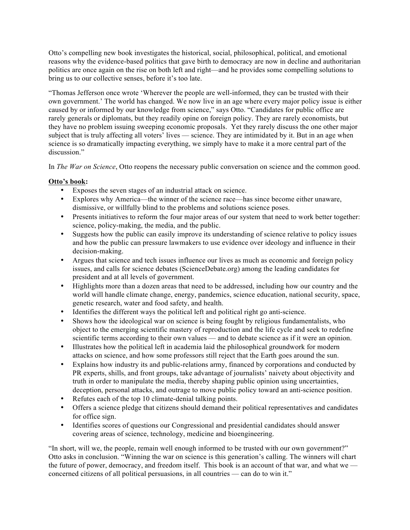Otto's compelling new book investigates the historical, social, philosophical, political, and emotional reasons why the evidence-based politics that gave birth to democracy are now in decline and authoritarian politics are once again on the rise on both left and right—and he provides some compelling solutions to bring us to our collective senses, before it's too late.

"Thomas Jefferson once wrote 'Wherever the people are well-informed, they can be trusted with their own government.' The world has changed. We now live in an age where every major policy issue is either caused by or informed by our knowledge from science," says Otto. "Candidates for public office are rarely generals or diplomats, but they readily opine on foreign policy. They are rarely economists, but they have no problem issuing sweeping economic proposals. Yet they rarely discuss the one other major subject that is truly affecting all voters' lives — science. They are intimidated by it. But in an age when science is so dramatically impacting everything, we simply have to make it a more central part of the discussion"

In *The War on Science*, Otto reopens the necessary public conversation on science and the common good.

## **Otto's book:**

- Exposes the seven stages of an industrial attack on science.
- Explores why America—the winner of the science race—has since become either unaware, dismissive, or willfully blind to the problems and solutions science poses.
- Presents initiatives to reform the four major areas of our system that need to work better together: science, policy-making, the media, and the public.
- Suggests how the public can easily improve its understanding of science relative to policy issues and how the public can pressure lawmakers to use evidence over ideology and influence in their decision-making.
- Argues that science and tech issues influence our lives as much as economic and foreign policy issues, and calls for science debates (ScienceDebate.org) among the leading candidates for president and at all levels of government.
- Highlights more than a dozen areas that need to be addressed, including how our country and the world will handle climate change, energy, pandemics, science education, national security, space, genetic research, water and food safety, and health.
- Identifies the different ways the political left and political right go anti-science.
- Shows how the ideological war on science is being fought by religious fundamentalists, who object to the emerging scientific mastery of reproduction and the life cycle and seek to redefine scientific terms according to their own values — and to debate science as if it were an opinion.
- Illustrates how the political left in academia laid the philosophical groundwork for modern attacks on science, and how some professors still reject that the Earth goes around the sun.
- Explains how industry its and public-relations army, financed by corporations and conducted by PR experts, shills, and front groups, take advantage of journalists' naivety about objectivity and truth in order to manipulate the media, thereby shaping public opinion using uncertainties, deception, personal attacks, and outrage to move public policy toward an anti-science position.
- Refutes each of the top 10 climate-denial talking points.
- Offers a science pledge that citizens should demand their political representatives and candidates for office sign.
- Identifies scores of questions our Congressional and presidential candidates should answer covering areas of science, technology, medicine and bioengineering.

"In short, will we, the people, remain well enough informed to be trusted with our own government?" Otto asks in conclusion. "Winning the war on science is this generation's calling. The winners will chart the future of power, democracy, and freedom itself. This book is an account of that war, and what we concerned citizens of all political persuasions, in all countries — can do to win it."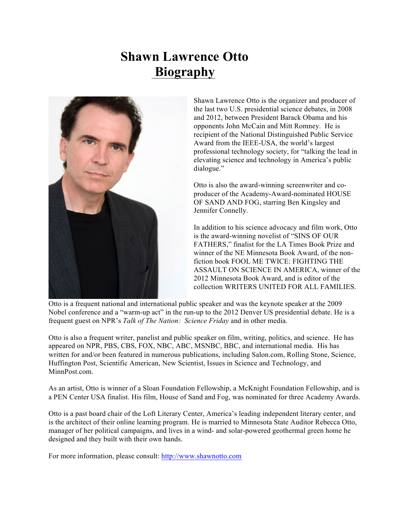# **Shawn Lawrence Otto Biography**



Shawn Lawrence Otto is the organizer and producer of the last two U.S. presidential science debates, in 2008 and 2012, between President Barack Obama and his opponents John McCain and Mitt Romney. He is recipient of the National Distinguished Public Service Award from the IEEE-USA, the world's largest professional technology society, for "talking the lead in elevating science and technology in America's public dialogue."

Otto is also the award-winning screenwriter and coproducer of the Academy-Award-nominated HOUSE OF SAND AND FOG, starring Ben Kingsley and Jennifer Connelly.

In addition to his science advocacy and film work, Otto is the award-winning novelist of "SINS OF OUR FATHERS," finalist for the LA Times Book Prize and winner of the NE Minnesota Book Award, of the nonfiction book FOOL ME TWICE: FIGHTING THE ASSAULT ON SCIENCE IN AMERICA, winner of the 2012 Minnesota Book Award, and is editor of the collection WRITERS UNITED FOR ALL FAMILIES.

Otto is a frequent national and international public speaker and was the keynote speaker at the 2009 Nobel conference and a "warm-up act" in the run-up to the 2012 Denver US presidential debate. He is a frequent guest on NPR's *Talk of The Nation: Science Friday* and in other media.

Otto is also a frequent writer, panelist and public speaker on film, writing, politics, and science. He has appeared on NPR, PBS, CBS, FOX, NBC, ABC, MSNBC, BBC, and international media. His has written for and/or been featured in numerous publications, including Salon.com, Rolling Stone, Science, Huffington Post, Scientific American, New Scientist, Issues in Science and Technology, and MinnPost.com.

As an artist, Otto is winner of a Sloan Foundation Fellowship, a McKnight Foundation Fellowship, and is a PEN Center USA finalist. His film, House of Sand and Fog, was nominated for three Academy Awards.

Otto is a past board chair of the Loft Literary Center, America's leading independent literary center, and is the architect of their online learning program. He is married to Minnesota State Auditor Rebecca Otto, manager of her political campaigns, and lives in a wind- and solar-powered geothermal green home he designed and they built with their own hands.

For more information, please consult: http://www.shawnotto.com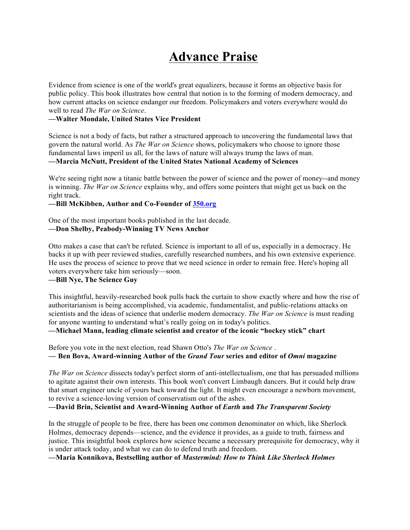# **Advance Praise**

Evidence from science is one of the world's great equalizers, because it forms an objective basis for public policy. This book illustrates how central that notion is to the forming of modern democracy, and how current attacks on science endanger our freedom. Policymakers and voters everywhere would do well to read *The War on Science*.

#### **—Walter Mondale, United States Vice President**

Science is not a body of facts, but rather a structured approach to uncovering the fundamental laws that govern the natural world. As *The War on Science* shows, policymakers who choose to ignore those fundamental laws imperil us all, for the laws of nature will always trump the laws of man. **—Marcia McNutt, President of the United States National Academy of Sciences**

We're seeing right now a titanic battle between the power of science and the power of money--and money is winning. *The War on Science* explains why, and offers some pointers that might get us back on the right track.

#### **—Bill McKibben, Author and Co-Founder of 350.org**

One of the most important books published in the last decade. **—Don Shelby, Peabody-Winning TV News Anchor**

Otto makes a case that can't be refuted. Science is important to all of us, especially in a democracy. He backs it up with peer reviewed studies, carefully researched numbers, and his own extensive experience. He uses the process of science to prove that we need science in order to remain free. Here's hoping all voters everywhere take him seriously—soon.

# **—Bill Nye, The Science Guy**

This insightful, heavily-researched book pulls back the curtain to show exactly where and how the rise of authoritarianism is being accomplished, via academic, fundamentalist, and public-relations attacks on scientists and the ideas of science that underlie modern democracy. *The War on Science* is must reading for anyone wanting to understand what's really going on in today's politics.

**—Michael Mann, leading climate scientist and creator of the iconic "hockey stick" chart**

Before you vote in the next election, read Shawn Otto's *The War on Science* . **— Ben Bova, Award-winning Author of the** *Grand Tour* **series and editor of** *Omni* **magazine**

*The War on Science* dissects today's perfect storm of anti-intellectualism, one that has persuaded millions to agitate against their own interests. This book won't convert Limbaugh dancers. But it could help draw that smart engineer uncle of yours back toward the light. It might even encourage a newborn movement, to revive a science-loving version of conservatism out of the ashes.

#### **—David Brin, Scientist and Award-Winning Author of** *Earth* **and** *The Transparent Society*

In the struggle of people to be free, there has been one common denominator on which, like Sherlock Holmes, democracy depends—science, and the evidence it provides, as a guide to truth, fairness and justice. This insightful book explores how science became a necessary prerequisite for democracy, why it is under attack today, and what we can do to defend truth and freedom.

**—Maria Konnikova, Bestselling author of** *Mastermind: How to Think Like Sherlock Holmes*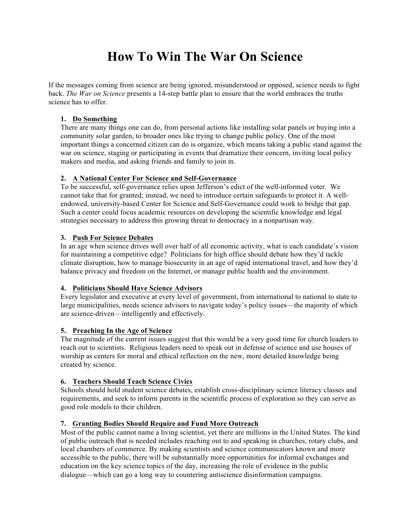# **How To Win The War On Science**

If the messages coming from science are being ignored, misunderstood or opposed, science needs to fight back. *The War on Science* presents a 14-step battle plan to ensure that the world embraces the truths science has to offer.

## **1. Do Something**

There are many things one can do, from personal actions like installing solar panels or buying into a community solar garden, to broader ones like trying to change public policy. One of the most important things a concerned citizen can do is organize, which means taking a public stand against the war on science, staging or participating in events that dramatize their concern, inviting local policy makers and media, and asking friends and family to join in.

## **2. A National Center For Science and Self-Governance**

To be successful, self-governance relies upon Jefferson's edict of the well-informed voter. We cannot take that for granted; instead, we need to introduce certain safeguards to protect it. A wellendowed, university-based Center for Science and Self-Governance could work to bridge that gap. Such a center could focus academic resources on developing the scientific knowledge and legal strategies necessary to address this growing threat to democracy in a nonpartisan way.

## **3. Push For Science Debates**

In an age when science drives well over half of all economic activity, what is each candidate's vision for maintaining a competitive edge? Politicians for high office should debate how they'd tackle climate disruption, how to manage biosecurity in an age of rapid international travel, and how they'd balance privacy and freedom on the Internet, or manage public health and the environment.

#### **4. Politicians Should Have Science Advisors**

Every legislator and executive at every level of government, from international to national to state to large municipalities, needs science advisors to navigate today's policy issues—the majority of which are science-driven—intelligently and effectively.

#### **5. Preaching In the Age of Science**

The magnitude of the current issues suggest that this would be a very good time for church leaders to reach out to scientists. Religious leaders need to speak out in defense of science and use houses of worship as centers for moral and ethical reflection on the new, more detailed knowledge being created by science.

# **6. Teachers Should Teach Science Civics**

Schools should hold student science debates, establish cross-disciplinary science literacy classes and requirements, and seek to inform parents in the scientific process of exploration so they can serve as good role models to their children.

# **7. Granting Bodies Should Require and Fund More Outreach**

Most of the public cannot name a living scientist, yet there are millions in the United States. The kind of public outreach that is needed includes reaching out to and speaking in churches, rotary clubs, and local chambers of commerce. By making scientists and science communicators known and more accessible to the public, there will be substantially more opportunities for informal exchanges and education on the key science topics of the day, increasing the role of evidence in the public dialogue—which can go a long way to countering antiscience disinformation campaigns.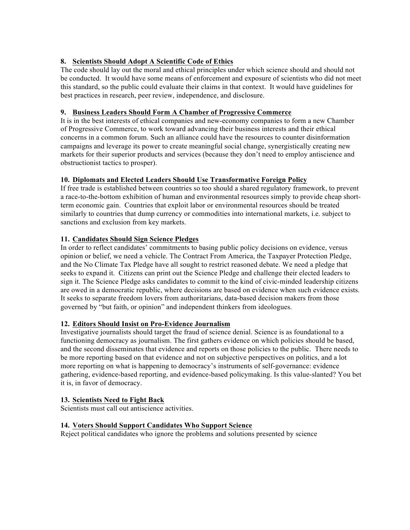# **8. Scientists Should Adopt A Scientific Code of Ethics**

The code should lay out the moral and ethical principles under which science should and should not be conducted. It would have some means of enforcement and exposure of scientists who did not meet this standard, so the public could evaluate their claims in that context. It would have guidelines for best practices in research, peer review, independence, and disclosure.

# **9. Business Leaders Should Form A Chamber of Progressive Commerce**

It is in the best interests of ethical companies and new-economy companies to form a new Chamber of Progressive Commerce, to work toward advancing their business interests and their ethical concerns in a common forum. Such an alliance could have the resources to counter disinformation campaigns and leverage its power to create meaningful social change, synergistically creating new markets for their superior products and services (because they don't need to employ antiscience and obstructionist tactics to prosper).

# **10. Diplomats and Elected Leaders Should Use Transformative Foreign Policy**

If free trade is established between countries so too should a shared regulatory framework, to prevent a race-to-the-bottom exhibition of human and environmental resources simply to provide cheap shortterm economic gain. Countries that exploit labor or environmental resources should be treated similarly to countries that dump currency or commodities into international markets, i.e. subject to sanctions and exclusion from key markets.

# **11. Candidates Should Sign Science Pledges**

In order to reflect candidates' commitments to basing public policy decisions on evidence, versus opinion or belief, we need a vehicle. The Contract From America, the Taxpayer Protection Pledge, and the No Climate Tax Pledge have all sought to restrict reasoned debate. We need a pledge that seeks to expand it. Citizens can print out the Science Pledge and challenge their elected leaders to sign it. The Science Pledge asks candidates to commit to the kind of civic-minded leadership citizens are owed in a democratic republic, where decisions are based on evidence when such evidence exists. It seeks to separate freedom lovers from authoritarians, data-based decision makers from those governed by "but faith, or opinion" and independent thinkers from ideologues.

# **12. Editors Should Insist on Pro-Evidence Journalism**

Investigative journalists should target the fraud of science denial. Science is as foundational to a functioning democracy as journalism. The first gathers evidence on which policies should be based, and the second disseminates that evidence and reports on those policies to the public. There needs to be more reporting based on that evidence and not on subjective perspectives on politics, and a lot more reporting on what is happening to democracy's instruments of self-governance: evidence gathering, evidence-based reporting, and evidence-based policymaking. Is this value-slanted? You bet it is, in favor of democracy.

# **13. Scientists Need to Fight Back**

Scientists must call out antiscience activities.

# **14. Voters Should Support Candidates Who Support Science**

Reject political candidates who ignore the problems and solutions presented by science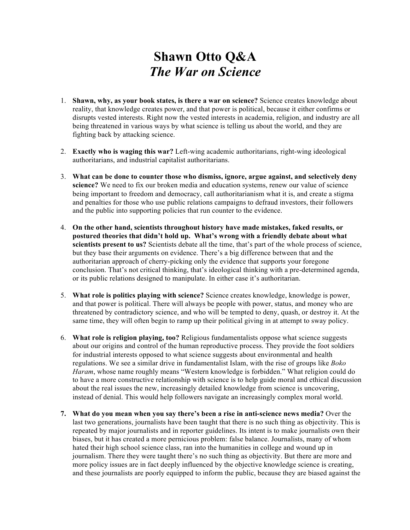# **Shawn Otto Q&A** *The War on Science*

- 1. **Shawn, why, as your book states, is there a war on science?** Science creates knowledge about reality, that knowledge creates power, and that power is political, because it either confirms or disrupts vested interests. Right now the vested interests in academia, religion, and industry are all being threatened in various ways by what science is telling us about the world, and they are fighting back by attacking science.
- 2. **Exactly who is waging this war?** Left-wing academic authoritarians, right-wing ideological authoritarians, and industrial capitalist authoritarians.
- 3. **What can be done to counter those who dismiss, ignore, argue against, and selectively deny science?** We need to fix our broken media and education systems, renew our value of science being important to freedom and democracy, call authoritarianism what it is, and create a stigma and penalties for those who use public relations campaigns to defraud investors, their followers and the public into supporting policies that run counter to the evidence.
- 4. **On the other hand, scientists throughout history have made mistakes, faked results, or postured theories that didn't hold up. What's wrong with a friendly debate about what scientists present to us?** Scientists debate all the time, that's part of the whole process of science, but they base their arguments on evidence. There's a big difference between that and the authoritarian approach of cherry-picking only the evidence that supports your foregone conclusion. That's not critical thinking, that's ideological thinking with a pre-determined agenda, or its public relations designed to manipulate. In either case it's authoritarian.
- 5. **What role is politics playing with science?** Science creates knowledge, knowledge is power, and that power is political. There will always be people with power, status, and money who are threatened by contradictory science, and who will be tempted to deny, quash, or destroy it. At the same time, they will often begin to ramp up their political giving in at attempt to sway policy.
- 6. **What role is religion playing, too?** Religious fundamentalists oppose what science suggests about our origins and control of the human reproductive process. They provide the foot soldiers for industrial interests opposed to what science suggests about environmental and health regulations. We see a similar drive in fundamentalist Islam, with the rise of groups like *Boko Haram*, whose name roughly means "Western knowledge is forbidden." What religion could do to have a more constructive relationship with science is to help guide moral and ethical discussion about the real issues the new, increasingly detailed knowledge from science is uncovering, instead of denial. This would help followers navigate an increasingly complex moral world.
- **7. What do you mean when you say there's been a rise in anti-science news media?** Over the last two generations, journalists have been taught that there is no such thing as objectivity. This is repeated by major journalists and in reporter guidelines. Its intent is to make journalists own their biases, but it has created a more pernicious problem: false balance. Journalists, many of whom hated their high school science class, ran into the humanities in college and wound up in journalism. There they were taught there's no such thing as objectivity. But there are more and more policy issues are in fact deeply influenced by the objective knowledge science is creating, and these journalists are poorly equipped to inform the public, because they are biased against the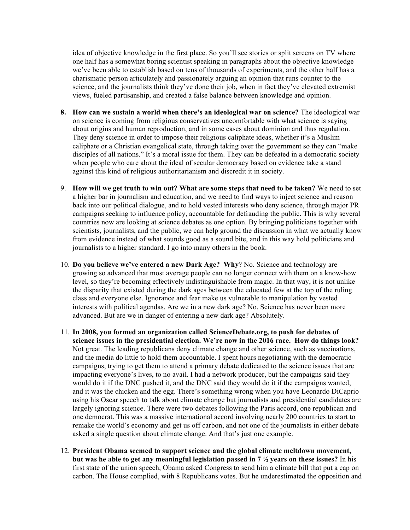idea of objective knowledge in the first place. So you'll see stories or split screens on TV where one half has a somewhat boring scientist speaking in paragraphs about the objective knowledge we've been able to establish based on tens of thousands of experiments, and the other half has a charismatic person articulately and passionately arguing an opinion that runs counter to the science, and the journalists think they've done their job, when in fact they've elevated extremist views, fueled partisanship, and created a false balance between knowledge and opinion.

- **8. How can we sustain a world when there's an ideological war on science?** The ideological war on science is coming from religious conservatives uncomfortable with what science is saying about origins and human reproduction, and in some cases about dominion and thus regulation. They deny science in order to impose their religious caliphate ideas, whether it's a Muslim caliphate or a Christian evangelical state, through taking over the government so they can "make disciples of all nations." It's a moral issue for them. They can be defeated in a democratic society when people who care about the ideal of secular democracy based on evidence take a stand against this kind of religious authoritarianism and discredit it in society.
- 9. **How will we get truth to win out? What are some steps that need to be taken?** We need to set a higher bar in journalism and education, and we need to find ways to inject science and reason back into our political dialogue, and to hold vested interests who deny science, through major PR campaigns seeking to influence policy, accountable for defrauding the public. This is why several countries now are looking at science debates as one option. By bringing politicians together with scientists, journalists, and the public, we can help ground the discussion in what we actually know from evidence instead of what sounds good as a sound bite, and in this way hold politicians and journalists to a higher standard. I go into many others in the book.
- 10. **Do you believe we've entered a new Dark Age? Why**? No. Science and technology are growing so advanced that most average people can no longer connect with them on a know-how level, so they're becoming effectively indistinguishable from magic. In that way, it is not unlike the disparity that existed during the dark ages between the educated few at the top of the ruling class and everyone else. Ignorance and fear make us vulnerable to manipulation by vested interests with political agendas. Are we in a new dark age? No. Science has never been more advanced. But are we in danger of entering a new dark age? Absolutely.
- 11. **In 2008, you formed an organization called ScienceDebate.org, to push for debates of science issues in the presidential election. We're now in the 2016 race. How do things look?** Not great. The leading republicans deny climate change and other science, such as vaccinations, and the media do little to hold them accountable. I spent hours negotiating with the democratic campaigns, trying to get them to attend a primary debate dedicated to the science issues that are impacting everyone's lives, to no avail. I had a network producer, but the campaigns said they would do it if the DNC pushed it, and the DNC said they would do it if the campaigns wanted, and it was the chicken and the egg. There's something wrong when you have Leonardo DiCaprio using his Oscar speech to talk about climate change but journalists and presidential candidates are largely ignoring science. There were two debates following the Paris accord, one republican and one democrat. This was a massive international accord involving nearly 200 countries to start to remake the world's economy and get us off carbon, and not one of the journalists in either debate asked a single question about climate change. And that's just one example.
- 12. **President Obama seemed to support science and the global climate meltdown movement, but was he able to get any meaningful legislation passed in 7 ½ years on these issues?** In his first state of the union speech, Obama asked Congress to send him a climate bill that put a cap on carbon. The House complied, with 8 Republicans votes. But he underestimated the opposition and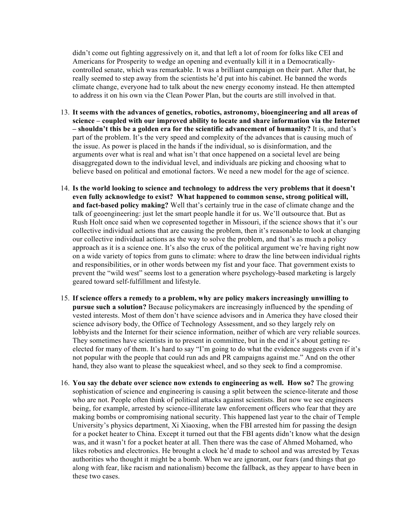didn't come out fighting aggressively on it, and that left a lot of room for folks like CEI and Americans for Prosperity to wedge an opening and eventually kill it in a Democraticallycontrolled senate, which was remarkable. It was a brilliant campaign on their part. After that, he really seemed to step away from the scientists he'd put into his cabinet. He banned the words climate change, everyone had to talk about the new energy economy instead. He then attempted to address it on his own via the Clean Power Plan, but the courts are still involved in that.

- 13. **It seems with the advances of genetics, robotics, astronomy, bioengineering and all areas of science – coupled with our improved ability to locate and share information via the Internet – shouldn't this be a golden era for the scientific advancement of humanity?** It is, and that's part of the problem. It's the very speed and complexity of the advances that is causing much of the issue. As power is placed in the hands if the individual, so is disinformation, and the arguments over what is real and what isn't that once happened on a societal level are being disaggregated down to the individual level, and individuals are picking and choosing what to believe based on political and emotional factors. We need a new model for the age of science.
- 14. **Is the world looking to science and technology to address the very problems that it doesn't even fully acknowledge to exist? What happened to common sense, strong political will, and fact-based policy making?** Well that's certainly true in the case of climate change and the talk of geoengineering: just let the smart people handle it for us. We'll outsource that. But as Rush Holt once said when we copresented together in Missouri, if the science shows that it's our collective individual actions that are causing the problem, then it's reasonable to look at changing our collective individual actions as the way to solve the problem, and that's as much a policy approach as it is a science one. It's also the crux of the political argument we're having right now on a wide variety of topics from guns to climate: where to draw the line between individual rights and responsibilities, or in other words between my fist and your face. That government exists to prevent the "wild west" seems lost to a generation where psychology-based marketing is largely geared toward self-fulfillment and lifestyle.
- 15. **If science offers a remedy to a problem, why are policy makers increasingly unwilling to pursue such a solution?** Because policymakers are increasingly influenced by the spending of vested interests. Most of them don't have science advisors and in America they have closed their science advisory body, the Office of Technology Assessment, and so they largely rely on lobbyists and the Internet for their science information, neither of which are very reliable sources. They sometimes have scientists in to present in committee, but in the end it's about getting reelected for many of them. It's hard to say "I'm going to do what the evidence suggests even if it's not popular with the people that could run ads and PR campaigns against me." And on the other hand, they also want to please the squeakiest wheel, and so they seek to find a compromise.
- 16. **You say the debate over science now extends to engineering as well. How so?** The growing sophistication of science and engineering is causing a split between the science-literate and those who are not. People often think of political attacks against scientists. But now we see engineers being, for example, arrested by science-illiterate law enforcement officers who fear that they are making bombs or compromising national security. This happened last year to the chair of Temple University's physics department, Xi Xiaoxing, when the FBI arrested him for passing the design for a pocket heater to China. Except it turned out that the FBI agents didn't know what the design was, and it wasn't for a pocket heater at all. Then there was the case of Ahmed Mohamed, who likes robotics and electronics. He brought a clock he'd made to school and was arrested by Texas authorities who thought it might be a bomb. When we are ignorant, our fears (and things that go along with fear, like racism and nationalism) become the fallback, as they appear to have been in these two cases.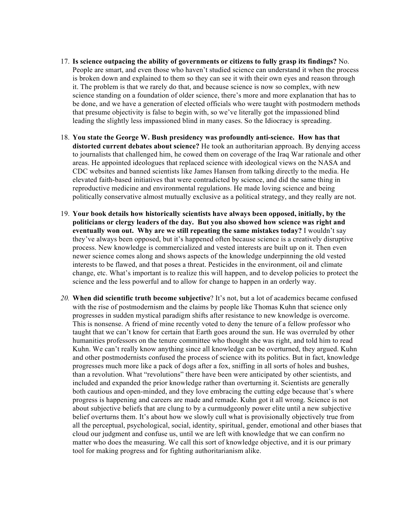- 17. **Is science outpacing the ability of governments or citizens to fully grasp its findings?** No. People are smart, and even those who haven't studied science can understand it when the process is broken down and explained to them so they can see it with their own eyes and reason through it. The problem is that we rarely do that, and because science is now so complex, with new science standing on a foundation of older science, there's more and more explanation that has to be done, and we have a generation of elected officials who were taught with postmodern methods that presume objectivity is false to begin with, so we've literally got the impassioned blind leading the slightly less impassioned blind in many cases. So the Idiocracy is spreading.
- 18. **You state the George W. Bush presidency was profoundly anti-science. How has that distorted current debates about science?** He took an authoritarian approach. By denying access to journalists that challenged him, he cowed them on coverage of the Iraq War rationale and other areas. He appointed ideologues that replaced science with ideological views on the NASA and CDC websites and banned scientists like James Hansen from talking directly to the media. He elevated faith-based initiatives that were contradicted by science, and did the same thing in reproductive medicine and environmental regulations. He made loving science and being politically conservative almost mutually exclusive as a political strategy, and they really are not.
- 19. **Your book details how historically scientists have always been opposed, initially, by the politicians or clergy leaders of the day. But you also showed how science was right and eventually won out. Why are we still repeating the same mistakes today?** I wouldn't say they've always been opposed, but it's happened often because science is a creatively disruptive process. New knowledge is commercialized and vested interests are built up on it. Then even newer science comes along and shows aspects of the knowledge underpinning the old vested interests to be flawed, and that poses a threat. Pesticides in the environment, oil and climate change, etc. What's important is to realize this will happen, and to develop policies to protect the science and the less powerful and to allow for change to happen in an orderly way.
- *20.* **When did scientific truth become subjective**? It's not, but a lot of academics became confused with the rise of postmodernism and the claims by people like Thomas Kuhn that science only progresses in sudden mystical paradigm shifts after resistance to new knowledge is overcome. This is nonsense. A friend of mine recently voted to deny the tenure of a fellow professor who taught that we can't know for certain that Earth goes around the sun. He was overruled by other humanities professors on the tenure committee who thought she was right, and told him to read Kuhn. We can't really know anything since all knowledge can be overturned, they argued. Kuhn and other postmodernists confused the process of science with its politics. But in fact, knowledge progresses much more like a pack of dogs after a fox, sniffing in all sorts of holes and bushes, than a revolution. What "revolutions" there have been were anticipated by other scientists, and included and expanded the prior knowledge rather than overturning it. Scientists are generally both cautious and open-minded, and they love embracing the cutting edge because that's where progress is happening and careers are made and remade. Kuhn got it all wrong. Science is not about subjective beliefs that are clung to by a curmudgeonly power elite until a new subjective belief overturns them. It's about how we slowly cull what is provisionally objectively true from all the perceptual, psychological, social, identity, spiritual, gender, emotional and other biases that cloud our judgment and confuse us, until we are left with knowledge that we can confirm no matter who does the measuring. We call this sort of knowledge objective, and it is our primary tool for making progress and for fighting authoritarianism alike.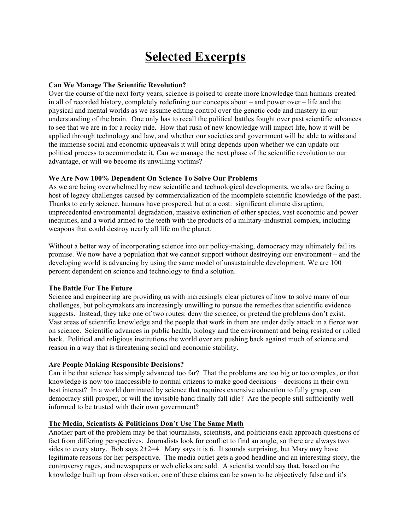# **Selected Excerpts**

## **Can We Manage The Scientific Revolution?**

Over the course of the next forty years, science is poised to create more knowledge than humans created in all of recorded history, completely redefining our concepts about – and power over – life and the physical and mental worlds as we assume editing control over the genetic code and mastery in our understanding of the brain. One only has to recall the political battles fought over past scientific advances to see that we are in for a rocky ride. How that rush of new knowledge will impact life, how it will be applied through technology and law, and whether our societies and government will be able to withstand the immense social and economic upheavals it will bring depends upon whether we can update our political process to accommodate it. Can we manage the next phase of the scientific revolution to our advantage, or will we become its unwilling victims?

## **We Are Now 100% Dependent On Science To Solve Our Problems**

As we are being overwhelmed by new scientific and technological developments, we also are facing a host of legacy challenges caused by commercialization of the incomplete scientific knowledge of the past. Thanks to early science, humans have prospered, but at a cost: significant climate disruption, unprecedented environmental degradation, massive extinction of other species, vast economic and power inequities, and a world armed to the teeth with the products of a military-industrial complex, including weapons that could destroy nearly all life on the planet.

Without a better way of incorporating science into our policy-making, democracy may ultimately fail its promise. We now have a population that we cannot support without destroying our environment – and the developing world is advancing by using the same model of unsustainable development. We are 100 percent dependent on science and technology to find a solution.

#### **The Battle For The Future**

Science and engineering are providing us with increasingly clear pictures of how to solve many of our challenges, but policymakers are increasingly unwilling to pursue the remedies that scientific evidence suggests. Instead, they take one of two routes: deny the science, or pretend the problems don't exist. Vast areas of scientific knowledge and the people that work in them are under daily attack in a fierce war on science. Scientific advances in public health, biology and the environment and being resisted or rolled back. Political and religious institutions the world over are pushing back against much of science and reason in a way that is threatening social and economic stability.

# **Are People Making Responsible Decisions?**

Can it be that science has simply advanced too far? That the problems are too big or too complex, or that knowledge is now too inaccessible to normal citizens to make good decisions – decisions in their own best interest? In a world dominated by science that requires extensive education to fully grasp, can democracy still prosper, or will the invisible hand finally fall idle? Are the people still sufficiently well informed to be trusted with their own government?

#### **The Media, Scientists & Politicians Don't Use The Same Math**

Another part of the problem may be that journalists, scientists, and politicians each approach questions of fact from differing perspectives. Journalists look for conflict to find an angle, so there are always two sides to every story. Bob says  $2+2=4$ . Mary says it is 6. It sounds surprising, but Mary may have legitimate reasons for her perspective. The media outlet gets a good headline and an interesting story, the controversy rages, and newspapers or web clicks are sold. A scientist would say that, based on the knowledge built up from observation, one of these claims can be sown to be objectively false and it's